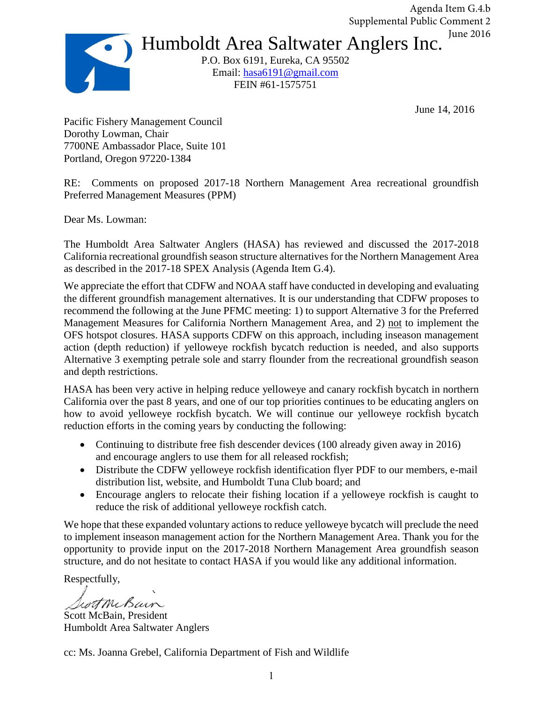Humboldt Area Saltwater Anglers Inc. P.O. Box 6191, Eureka, CA 95502 Email: [hasa6191@gmail.com](mailto:hasa6191@gmail.com) Agenda Item G.4.b Supplemental Public Comment 2 June 2016

FEIN #61-1575751

June 14, 2016

Pacific Fishery Management Council Dorothy Lowman, Chair 7700NE Ambassador Place, Suite 101 Portland, Oregon 97220‐1384

RE: Comments on proposed 2017-18 Northern Management Area recreational groundfish Preferred Management Measures (PPM)

Dear Ms. Lowman:

The Humboldt Area Saltwater Anglers (HASA) has reviewed and discussed the 2017-2018 California recreational groundfish season structure alternatives for the Northern Management Area as described in the 2017-18 SPEX Analysis (Agenda Item G.4).

We appreciate the effort that CDFW and NOAA staff have conducted in developing and evaluating the different groundfish management alternatives. It is our understanding that CDFW proposes to recommend the following at the June PFMC meeting: 1) to support Alternative 3 for the Preferred Management Measures for California Northern Management Area, and 2) not to implement the OFS hotspot closures. HASA supports CDFW on this approach, including inseason management action (depth reduction) if yelloweye rockfish bycatch reduction is needed, and also supports Alternative 3 exempting petrale sole and starry flounder from the recreational groundfish season and depth restrictions.

HASA has been very active in helping reduce yelloweye and canary rockfish bycatch in northern California over the past 8 years, and one of our top priorities continues to be educating anglers on how to avoid yelloweye rockfish bycatch. We will continue our yelloweye rockfish bycatch reduction efforts in the coming years by conducting the following:

- Continuing to distribute free fish descender devices (100 already given away in 2016) and encourage anglers to use them for all released rockfish;
- Distribute the CDFW yelloweye rockfish identification flyer PDF to our members, e-mail distribution list, website, and Humboldt Tuna Club board; and
- Encourage anglers to relocate their fishing location if a yelloweye rockfish is caught to reduce the risk of additional yelloweye rockfish catch.

We hope that these expanded voluntary actions to reduce yelloweye bycatch will preclude the need to implement inseason management action for the Northern Management Area. Thank you for the opportunity to provide input on the 2017-2018 Northern Management Area groundfish season structure, and do not hesitate to contact HASA if you would like any additional information.

Respectfully,

withcham

Scott McBain, President Humboldt Area Saltwater Anglers

cc: Ms. Joanna Grebel, California Department of Fish and Wildlife